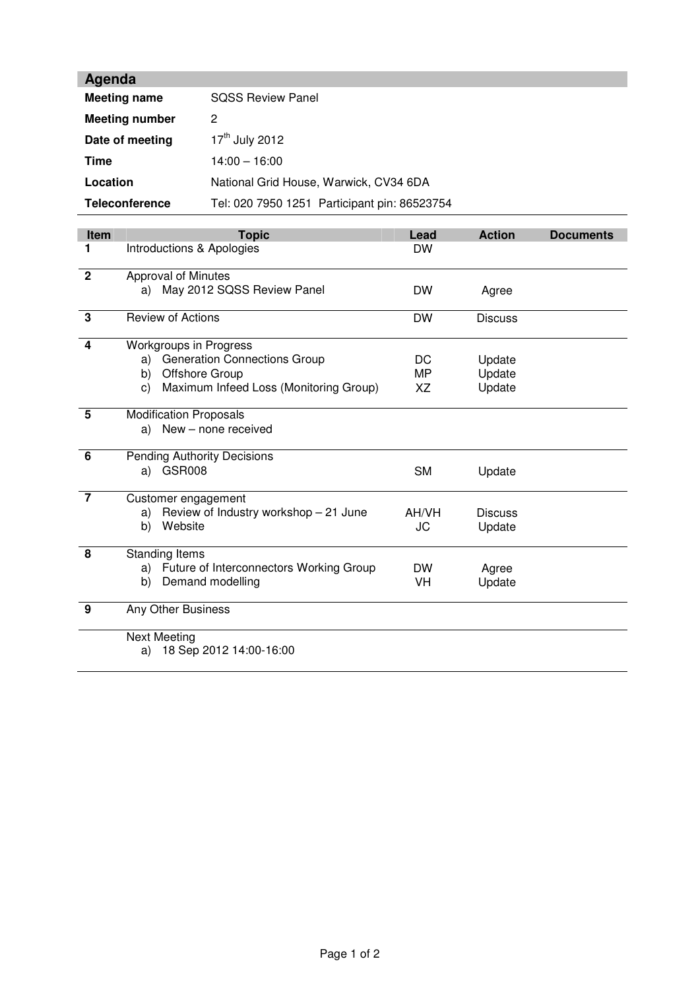| Agenda                |                                              |
|-----------------------|----------------------------------------------|
| <b>Meeting name</b>   | <b>SOSS Review Panel</b>                     |
| <b>Meeting number</b> | 2                                            |
| Date of meeting       | $17th$ July 2012                             |
| Time                  | $14:00 - 16:00$                              |
| Location              | National Grid House, Warwick, CV34 6DA       |
| <b>Teleconference</b> | Tel: 020 7950 1251 Participant pin: 86523754 |

| Item           | <b>Topic</b>                                                                                                                             | Lead               | <b>Action</b>              | <b>Documents</b> |
|----------------|------------------------------------------------------------------------------------------------------------------------------------------|--------------------|----------------------------|------------------|
| 1              | Introductions & Apologies                                                                                                                | <b>DW</b>          |                            |                  |
| $\overline{2}$ | <b>Approval of Minutes</b><br>a) May 2012 SQSS Review Panel                                                                              | DW                 | Agree                      |                  |
| $\mathbf 3$    | <b>Review of Actions</b>                                                                                                                 | <b>DW</b>          | <b>Discuss</b>             |                  |
| 4              | <b>Workgroups in Progress</b><br>a) Generation Connections Group<br>Offshore Group<br>b)<br>Maximum Infeed Loss (Monitoring Group)<br>C) | DC<br>MP<br>XZ     | Update<br>Update<br>Update |                  |
| 5              | <b>Modification Proposals</b><br>a) New - none received                                                                                  |                    |                            |                  |
| 6              | <b>Pending Authority Decisions</b><br>a) GSR008                                                                                          | <b>SM</b>          | Update                     |                  |
| $\overline{7}$ | Customer engagement<br>a) Review of Industry workshop $-21$ June<br>Website<br>b)                                                        | AH/VH<br><b>JC</b> | <b>Discuss</b><br>Update   |                  |
| 8              | Standing Items<br>a) Future of Interconnectors Working Group<br>Demand modelling<br>b)                                                   | <b>DW</b><br>VH    | Agree<br>Update            |                  |
| 9              | Any Other Business                                                                                                                       |                    |                            |                  |
|                | <b>Next Meeting</b><br>18 Sep 2012 14:00-16:00<br>a)                                                                                     |                    |                            |                  |